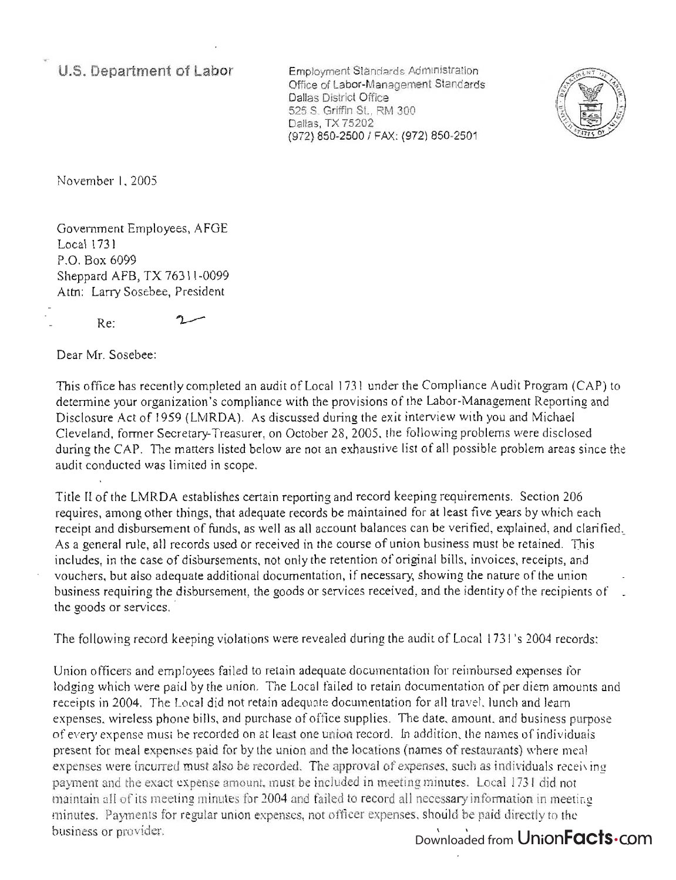**U.S. Department of Labor** 

Employment Standards Administration Office of Labor-Management Standards Dallas District Office 525 S. Griffin St., RM 300 Dallas, TX 75202 (972) 850-2500 / FAX: (972) 850-2501



November 1, 2005

Government Employees, AFGE Local 1731 P.O. Box 6099 Sheppard AFB, TX 76311-0099 Attn: Larry Sosebee, President

Re:

ግ

Dear Mr. Sosebee:

This office has recently completed an audit of Local 1731 under the Compliance Audit Program (CAP) to determine your organization's compliance with the provisions of the Labor-Management Reporting and Disclosure Act of 1959 (LMRDA). As discussed during the exit interview with you and Michael Cleveland, former Secretary-Treasurer, on October 28, 2005, the following problems were disclosed during the CAP. The matters listed below are not an exhaustive list of all possible problem areas since the audit conducted was limited in scope.

Title II of the LMRDA establishes certain reporting and record keeping requirements. Section 206 requires, among other things, that adequate records be maintained for at least five years by which each receipt and disbursement of funds, as well as all account balances can be verified, explained, and clarified, As a general rule, all records used or received in the course of union business must be retained. This includes, in the case of disbursements, not only the retention of original bills, invoices, receipts, and vouchers, but also adequate additional documentation, if necessary, showing the nature of the union business requiring the disbursement, the goods or services received, and the identity of the recipients of \_ the goods or services.

The following record keeping violations were revealed during the audit of Local 1731's 2004 records:

Union officers and employees failed to retain adequate documentation for reimbursed expenses for lodging which were paid by the union. The Local failed to retain documentation of per diem amounts and receipts in 2004. The Local did not retain adequate documentation for all travel, lunch and learn expenses, wireless phone bills, and purchase of office supplies. The date, amount, and business purpose of every expense must be recorded on at least one union record. In addition, the names of individuals present for meal expenses paid for by the union and the locations (names of restaurants) where meal expenses were incurred must also be recorded. The approval of expenses, such as individuals receiving payment and the exact expense amount. must be included in meeting minutes. Local 1731 did not maintain all of its meeting minutes for 2004 and failed to record all necessary information in meeting minutes. Payments for regular union expenses, not officer expenses, should be paid directly to the business or provider.

## Downloaded from Union**Facts**.com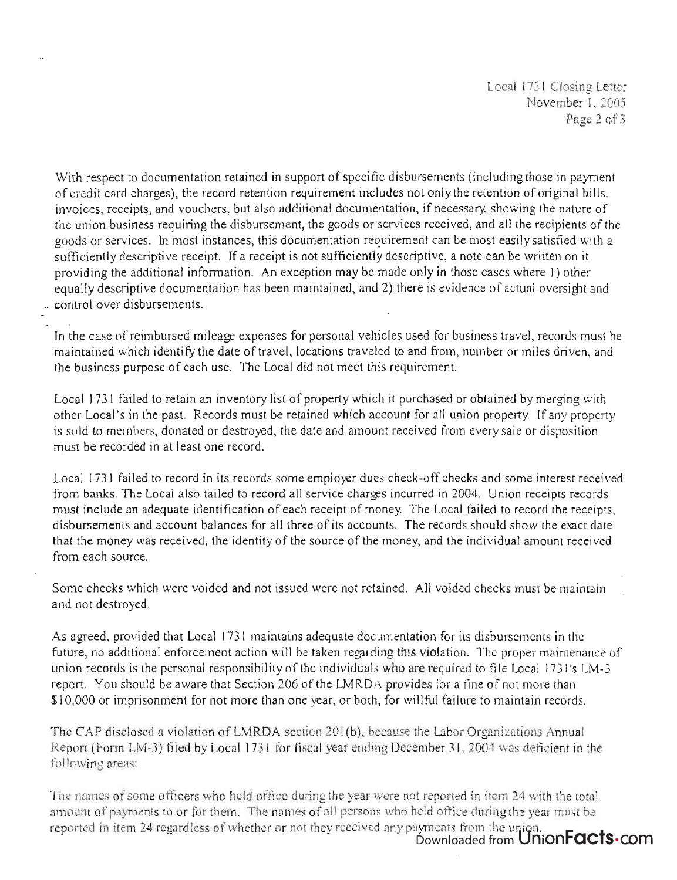With respect to documentation retained in support of specific disbursements (including those in payment of credit card charges), the record retention requirement includes not only the retention of original bills, invoices, receipts, and vouchers, but also additional documentation, if necessary, showing the nature of the union business requiring the disbursement, the goods or services received, and all the recipients of the goods or services. In most instances, this documentation requirement can be most easily satisfied with a sufficiently descriptive receipt. If a receipt is not sufficiently descriptive, a note can be written on it providing the additional information. An exception may be made only in those cases where I) other equally descriptive documentation has been maintained, and 2) there is evidence of actual oversight and \_ control over disbursements.

In the case of reimbursed mileage expenses for personal vehicles used for business travel, records must be maintained which identify the date of travel, locations traveled to and from, number or miles driven, and the business purpose of each use. The Local did not meet this requirement.

Local 1731 failed to retain an inventory list of property which it purchased or obtained by merging with other Local 's in the past. Records must be retained which account for all union property. If any property is sold to members, donated or destroyed, the date and amount received from every sale or disposition must be recorded in at least one record.

Local 1731 failed to record in its records some employer dues check-off checks and some interest received from banks. The Local also failed to record all service charges incurred in 2004. Union receipts records must include an adequate identification of each receipt of money. The Local failed to record the receipts, disbursements and account balances for all three of its accounts. The records should show the exact date that the money was received, the identity of the source of the money, and the individual amount received from each source.

Some checks which were voided and not issued were not retained. All voided checks must be maintain and not destroyed.

As agreed, provided that Local 1731 maintains adequate documentation for its disbursements in the future, no additional enforcement action will be taken regarding this violation. The proper maintenance of union records is the personal responsibility of the individuals who are required to file Local 1731's LM-3 report. You should be aware that Section 206 of the LMRDA provides for a fine of not more than \$10,000 or imprisonment for not more than one year, or both, for willful failure to maintain records.

The CAP disclosed a violation of LMRDA section 201(b), because the Labor Organizations Annual Report (Fonn LM-3) filed by Local 1731 for fiscal year ending December 3 1.2004 was deficient in the following areas:

The names of some officers who held office during the year were not reported in item 24 with the total amount of payments to or for them. The names of all persons who held office during the year must be eported in item 24 regardless of whether or not they received any payments from the union. Downloaded from